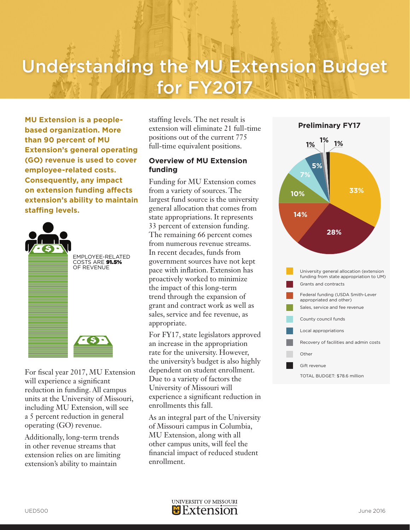# Understanding the MU Extension Budget for FY2017

**MU Extension is a peoplebased organization. More than 90 percent of MU Extension's general operating (GO) revenue is used to cover employee-related costs. Consequently, any impact on extension funding affects extension's ability to maintain staffing levels.** 



For fiscal year 2017, MU Extension will experience a significant reduction in funding. All campus units at the University of Missouri, including MU Extension, will see a 5 percent reduction in general operating (GO) revenue.

Additionally, long-term trends in other revenue streams that extension relies on are limiting extension's ability to maintain

staffing levels. The net result is extension will eliminate 21 full-time positions out of the current 775 full-time equivalent positions.

### **Overview of MU Extension funding**

Funding for MU Extension comes from a variety of sources. The largest fund source is the university general allocation that comes from state appropriations. It represents 33 percent of extension funding. The remaining 66 percent comes from numerous revenue streams. In recent decades, funds from government sources have not kept pace with inflation. Extension has proactively worked to minimize the impact of this long-term trend through the expansion of grant and contract work as well as sales, service and fee revenue, as appropriate.

For FY17, state legislators approved an increase in the appropriation rate for the university. However, the university's budget is also highly dependent on student enrollment. Due to a variety of factors the University of Missouri will experience a significant reduction in enrollments this fall.

As an integral part of the University of Missouri campus in Columbia, MU Extension, along with all other campus units, will feel the financial impact of reduced student enrollment.